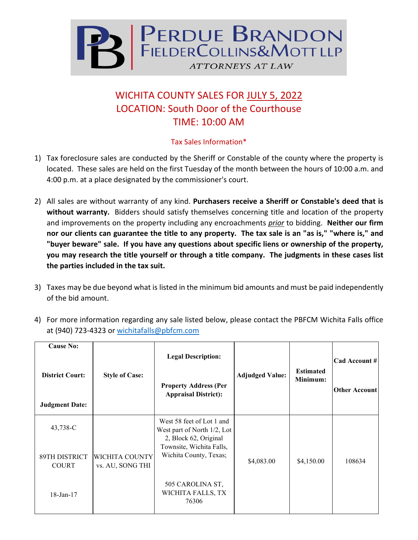

## WICHITA COUNTY SALES FOR JULY 5, 2022 LOCATION: South Door of the Courthouse TIME: 10:00 AM

## Tax Sales Information\*

- 1) Tax foreclosure sales are conducted by the Sheriff or Constable of the county where the property is located. These sales are held on the first Tuesday of the month between the hours of 10:00 a.m. and 4:00 p.m. at a place designated by the commissioner's court.
- 2) All sales are without warranty of any kind. **Purchasers receive a Sheriff or Constable's deed that is without warranty.** Bidders should satisfy themselves concerning title and location of the property and improvements on the property including any encroachments *prior* to bidding. **Neither our firm nor our clients can guarantee the title to any property. The tax sale is an "as is," "where is," and "buyer beware" sale. If you have any questions about specific liens or ownership of the property, you may research the title yourself or through a title company. The judgments in these cases list the parties included in the tax suit.**
- 3) Taxes may be due beyond what is listed in the minimum bid amounts and must be paid independently of the bid amount.
- 4) For more information regarding any sale listed below, please contact the PBFCM Wichita Falls office at (940) 723-4323 or [wichitafalls@pbfcm.com](mailto:wichitafalls@pbfcm.com)

| <b>Cause No:</b><br><b>District Court:</b><br><b>Judgment Date:</b> | <b>Style of Case:</b>              | <b>Legal Description:</b><br><b>Property Address (Per</b><br><b>Appraisal District):</b> | <b>Adjudged Value:</b> | <b>Estimated</b><br>Minimum: | Cad Account #<br><b>Other Account</b> |
|---------------------------------------------------------------------|------------------------------------|------------------------------------------------------------------------------------------|------------------------|------------------------------|---------------------------------------|
| 43,738-C                                                            |                                    | West 58 feet of Lot 1 and<br>West part of North 1/2, Lot<br>2, Block 62, Original        |                        |                              |                                       |
| 89TH DISTRICT<br><b>COURT</b>                                       | WICHITA COUNTY<br>vs. AU, SONG THI | Townsite, Wichita Falls,<br>Wichita County, Texas;                                       | \$4,083.00             | \$4,150.00                   | 108634                                |
| $18$ -Jan- $17$                                                     |                                    | 505 CAROLINA ST,<br>WICHITA FALLS, TX<br>76306                                           |                        |                              |                                       |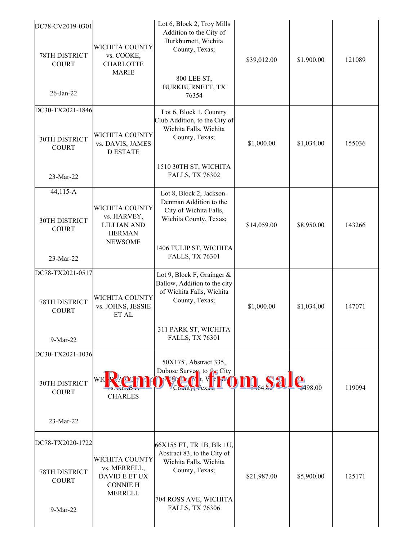| DC78-CV2019-0301<br>78TH DISTRICT<br><b>COURT</b><br>26-Jan-22        | WICHITA COUNTY<br>vs. COOKE,<br><b>CHARLOTTE</b><br><b>MARIE</b>                              | Lot 6, Block 2, Troy Mills<br>Addition to the City of<br>Burkburnett, Wichita<br>County, Texas;<br>800 LEE ST,<br>BURKBURNETT, TX<br>76354                  | \$39,012.00 | \$1,900.00                  | 121089 |
|-----------------------------------------------------------------------|-----------------------------------------------------------------------------------------------|-------------------------------------------------------------------------------------------------------------------------------------------------------------|-------------|-----------------------------|--------|
| DC30-TX2021-1846<br>30TH DISTRICT<br><b>COURT</b><br>23-Mar-22        | WICHITA COUNTY<br>vs. DAVIS, JAMES<br><b>D ESTATE</b>                                         | Lot 6, Block 1, Country<br>Club Addition, to the City of<br>Wichita Falls, Wichita<br>County, Texas;<br>1510 30TH ST, WICHITA<br><b>FALLS, TX 76302</b>     | \$1,000.00  | \$1,034.00                  | 155036 |
| 44,115-A<br>30TH DISTRICT<br><b>COURT</b><br>23-Mar-22                | <b>WICHITA COUNTY</b><br>vs. HARVEY,<br><b>LILLIAN AND</b><br><b>HERMAN</b><br><b>NEWSOME</b> | Lot 8, Block 2, Jackson-<br>Denman Addition to the<br>City of Wichita Falls,<br>Wichita County, Texas;<br>1406 TULIP ST, WICHITA<br><b>FALLS, TX 76301</b>  | \$14,059.00 | \$8,950.00                  | 143266 |
| DC78-TX2021-0517<br>78TH DISTRICT<br><b>COURT</b><br>9-Mar-22         | <b>WICHITA COUNTY</b><br>vs. JOHNS, JESSIE<br>ET AL                                           | Lot 9, Block F, Grainger &<br>Ballow, Addition to the city<br>of Wichita Falls, Wichita<br>County, Texas;<br>311 PARK ST, WICHITA<br><b>FALLS, TX 76301</b> | \$1,000.00  | \$1,034.00                  | 147071 |
| DC30-TX2021-1036<br><b>30TH DISTRICT</b><br><b>COURT</b><br>23-Mar-22 | <b>WIC</b><br><b>CHARLES</b>                                                                  | 50X175', Abstract 335,<br>Dubose Survey, to the City<br><b>d</b>                                                                                            |             | $\mathbf{e}_{\tiny 498.00}$ | 119094 |
| DC78-TX2020-1722<br>78TH DISTRICT<br><b>COURT</b><br>9-Mar-22         | <b>WICHITA COUNTY</b><br>vs. MERRELL,<br>DAVID E ET UX<br><b>CONNIE H</b><br><b>MERRELL</b>   | 66X155 FT, TR 1B, Blk 1U,<br>Abstract 83, to the City of<br>Wichita Falls, Wichita<br>County, Texas;<br>704 ROSS AVE, WICHITA<br><b>FALLS, TX 76306</b>     | \$21,987.00 | \$5,900.00                  | 125171 |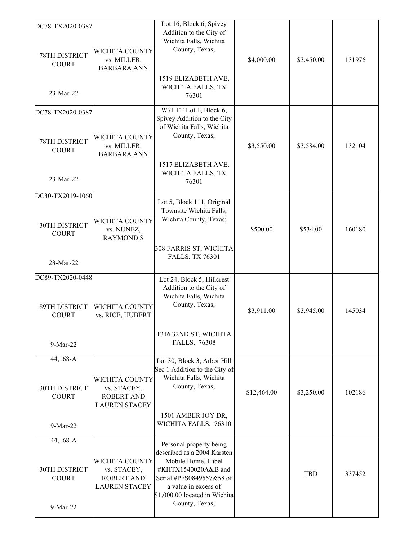| DC78-TX2020-0387<br>78TH DISTRICT<br><b>COURT</b><br>23-Mar-22 | WICHITA COUNTY<br>vs. MILLER,<br><b>BARBARA ANN</b>                               | Lot 16, Block 6, Spivey<br>Addition to the City of<br>Wichita Falls, Wichita<br>County, Texas;<br>1519 ELIZABETH AVE,<br>WICHITA FALLS, TX<br>76301                                                        | \$4,000.00  | \$3,450.00 | 131976 |
|----------------------------------------------------------------|-----------------------------------------------------------------------------------|------------------------------------------------------------------------------------------------------------------------------------------------------------------------------------------------------------|-------------|------------|--------|
| DC78-TX2020-0387                                               |                                                                                   | W71 FT Lot 1, Block 6,<br>Spivey Addition to the City                                                                                                                                                      |             |            |        |
| 78TH DISTRICT<br><b>COURT</b>                                  | WICHITA COUNTY<br>vs. MILLER,<br><b>BARBARA ANN</b>                               | of Wichita Falls, Wichita<br>County, Texas;<br>1517 ELIZABETH AVE,<br>WICHITA FALLS, TX                                                                                                                    | \$3,550.00  | \$3,584.00 | 132104 |
| 23-Mar-22                                                      |                                                                                   | 76301                                                                                                                                                                                                      |             |            |        |
| DC30-TX2019-1060                                               |                                                                                   | Lot 5, Block 111, Original<br>Townsite Wichita Falls,                                                                                                                                                      |             |            |        |
| 30TH DISTRICT<br><b>COURT</b>                                  | WICHITA COUNTY<br>vs. NUNEZ,<br><b>RAYMOND S</b>                                  | Wichita County, Texas;<br>308 FARRIS ST, WICHITA                                                                                                                                                           | \$500.00    | \$534.00   | 160180 |
| 23-Mar-22                                                      |                                                                                   | <b>FALLS, TX 76301</b>                                                                                                                                                                                     |             |            |        |
| DC89-TX2020-0448<br><b>89TH DISTRICT</b><br><b>COURT</b>       | <b>WICHITA COUNTY</b><br>vs. RICE, HUBERT                                         | Lot 24, Block 5, Hillcrest<br>Addition to the City of<br>Wichita Falls, Wichita<br>County, Texas;                                                                                                          | \$3,911.00  | \$3,945.00 | 145034 |
| 9-Mar-22                                                       |                                                                                   | 1316 32ND ST, WICHITA<br><b>FALLS, 76308</b>                                                                                                                                                               |             |            |        |
| 44,168-A<br>30TH DISTRICT<br><b>COURT</b>                      | <b>WICHITA COUNTY</b><br>vs. STACEY,<br><b>ROBERT AND</b><br><b>LAUREN STACEY</b> | Lot 30, Block 3, Arbor Hill<br>Sec 1 Addition to the City of<br>Wichita Falls, Wichita<br>County, Texas;                                                                                                   | \$12,464.00 | \$3,250.00 | 102186 |
| 9-Mar-22                                                       |                                                                                   | 1501 AMBER JOY DR,<br>WICHITA FALLS, 76310                                                                                                                                                                 |             |            |        |
| 44,168-A<br>30TH DISTRICT<br><b>COURT</b><br>9-Mar-22          | WICHITA COUNTY<br>vs. STACEY,<br><b>ROBERT AND</b><br><b>LAUREN STACEY</b>        | Personal property being<br>described as a 2004 Karsten<br>Mobile Home, Label<br>#KHTX1540020A&B and<br>Serial #PFS0849557&58 of<br>a value in excess of<br>\$1,000.00 located in Wichita<br>County, Texas; |             | <b>TBD</b> | 337452 |